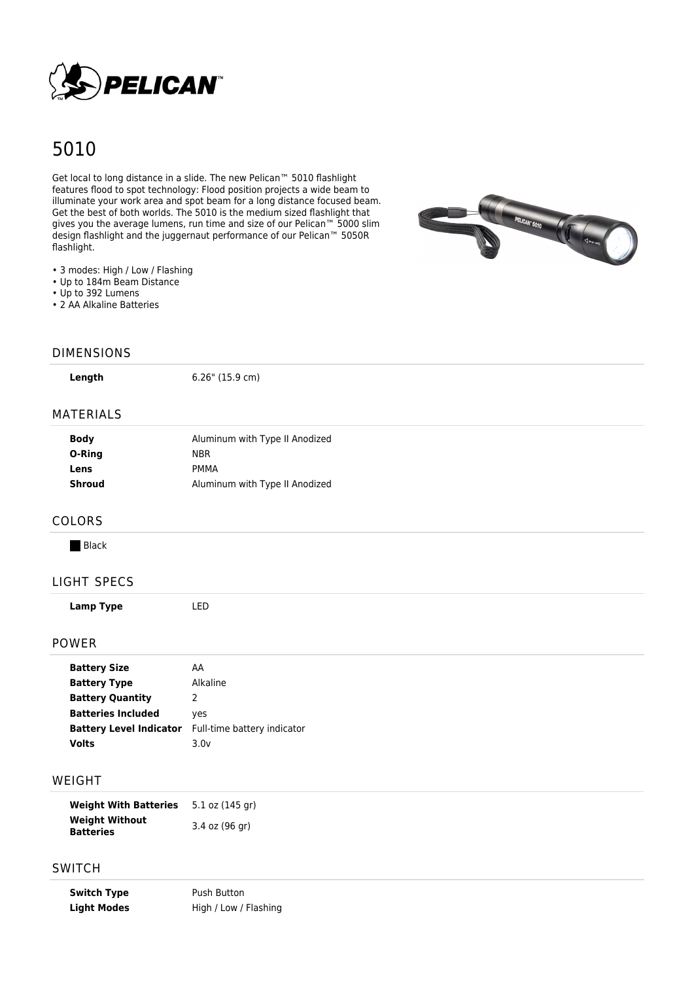

# 5010

Get local to long distance in a slide. The new Pelican<sup>™</sup> 5010 flashlight features flood to spot technology: Flood position projects a wide beam to illuminate your work area and spot beam for a long distance focused beam. Get the best of both worlds. The 5010 is the medium sized flashlight that gives you the average lumens, run time and size of our Pelican<sup>™</sup> 5000 slim design flashlight and the juggernaut performance of our Pelican™ 5050R flashlight.



- 3 modes: High / Low / Flashing
- Up to 184m Beam Distance
- Up to 392 Lumens
- 2 AA Alkaline Batteries

#### DIMENSIONS

**Length** 6.26" (15.9 cm)

### MATERIALS

| <b>Body</b> | Aluminum with Type II Anodized |
|-------------|--------------------------------|
| O-Ring      | <b>NBR</b>                     |
| Lens        | PMMA                           |
| Shroud      | Aluminum with Type II Anodized |

#### COLORS

**Black** 

# LIGHT SPECS

## POWER

| <b>Battery Size</b>       | AA                                                         |  |
|---------------------------|------------------------------------------------------------|--|
| <b>Battery Type</b>       | Alkaline                                                   |  |
| <b>Battery Quantity</b>   | 2                                                          |  |
| <b>Batteries Included</b> | yes                                                        |  |
|                           | <b>Battery Level Indicator</b> Full-time battery indicator |  |
| Volts                     | 3.0v                                                       |  |
|                           |                                                            |  |

#### WEIGHT

| <b>Weight With Batteries</b>              | 5.1 oz (145 gr) |
|-------------------------------------------|-----------------|
| <b>Weight Without</b><br><b>Batteries</b> | 3.4 oz (96 gr)  |

# **SWITCH**

**Switch Type** Push Button Light Modes High / Low / Flashing